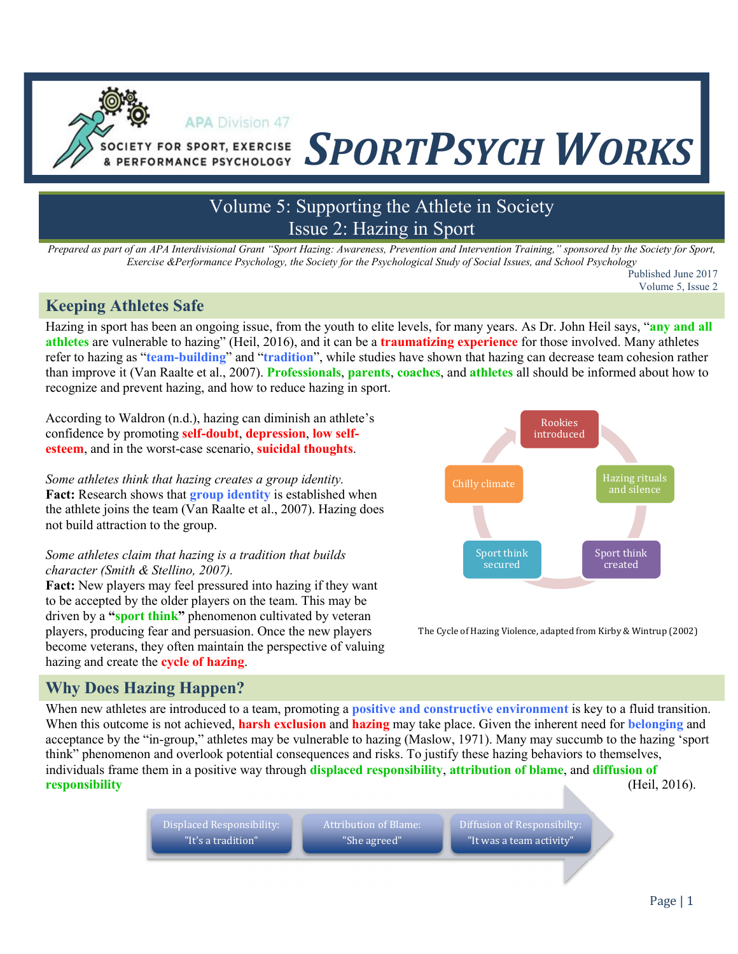# Volume 5: Supporting the Athlete in Society Issue 2: Hazing in Sport

**SOCIETY FOR SPORT, EXERCISE** SPORTPSYCH WORKS

*Prepared as part of an APA Interdivisional Grant "Sport Hazing: Awareness, Prevention and Intervention Training," sponsored by the Society for Sport, Exercise &Performance Psychology, the Society for the Psychological Study of Social Issues, and School Psychology*

> Published June 2017 Volume 5, Issue 2

## **Keeping Athletes Safe**

Hazing in sport has been an ongoing issue, from the youth to elite levels, for many years. As Dr. John Heil says, "**any and all athletes** are vulnerable to hazing" (Heil, 2016), and it can be a **traumatizing experience** for those involved. Many athletes refer to hazing as "**team-building**" and "**tradition**", while studies have shown that hazing can decrease team cohesion rather than improve it (Van Raalte et al., 2007). **Professionals**, **parents**, **coaches**, and **athletes** all should be informed about how to recognize and prevent hazing, and how to reduce hazing in sport.

According to Waldron (n.d.), hazing can diminish an athlete's confidence by promoting **self-doubt**, **depression**, **low selfesteem**, and in the worst-case scenario, **suicidal thoughts**.

**APA Division 47** 

*Some athletes think that hazing creates a group identity.*  **Fact:** Research shows that **group identity** is established when the athlete joins the team (Van Raalte et al., 2007). Hazing does not build attraction to the group.

#### *Some athletes claim that hazing is a tradition that builds character (Smith & Stellino, 2007).*

**Fact:** New players may feel pressured into hazing if they want to be accepted by the older players on the team. This may be driven by a **"sport think"** phenomenon cultivated by veteran players, producing fear and persuasion. Once the new players become veterans, they often maintain the perspective of valuing hazing and create the **cycle of hazing**.



The Cycle of Hazing Violence, adapted from Kirby & Wintrup (2002)

# **Why Does Hazing Happen?**

When new athletes are introduced to a team, promoting a **positive and constructive environment** is key to a fluid transition. When this outcome is not achieved, **harsh exclusion** and **hazing** may take place. Given the inherent need for **belonging** and acceptance by the "in-group," athletes may be vulnerable to hazing (Maslow, 1971). Many may succumb to the hazing 'sport think" phenomenon and overlook potential consequences and risks. To justify these hazing behaviors to themselves, individuals frame them in a positive way through **displaced responsibility**, **attribution of blame**, and **diffusion of responsibility** (Heil, 2016).